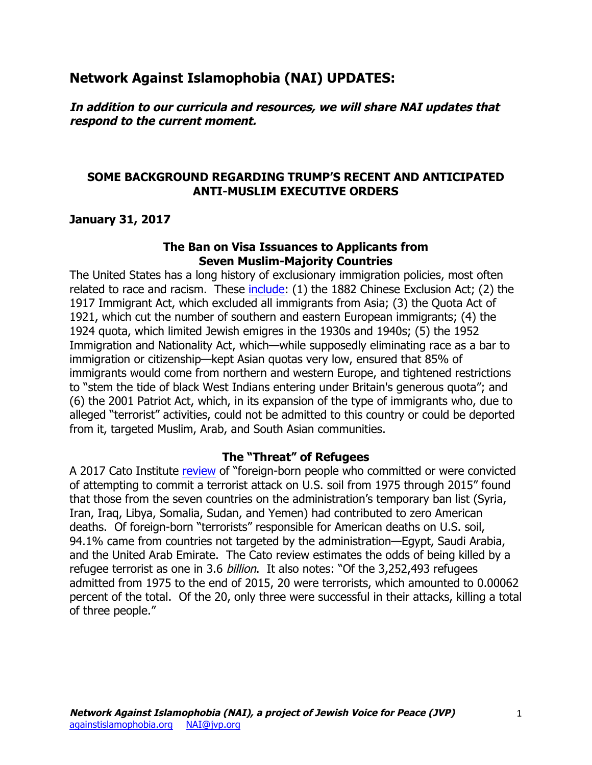# **Network Against Islamophobia (NAI) UPDATES:**

**In addition to our curricula and resources, we will share NAI updates that respond to the current moment.**

## **SOME BACKGROUND REGARDING TRUMP'S RECENT AND ANTICIPATED ANTI-MUSLIM EXECUTIVE ORDERS**

## **January 31, 2017**

#### **The Ban on Visa Issuances to Applicants from Seven Muslim-Majority Countries**

The United States has a long history of exclusionary immigration policies, most often related to race and racism. These include: (1) the 1882 Chinese Exclusion Act; (2) the 1917 Immigrant Act, which excluded all immigrants from Asia; (3) the Quota Act of 1921, which cut the number of southern and eastern European immigrants; (4) the 1924 quota, which limited Jewish emigres in the 1930s and 1940s; (5) the 1952 Immigration and Nationality Act, which—while supposedly eliminating race as a bar to immigration or citizenship—kept Asian quotas very low, ensured that 85% of immigrants would come from northern and western Europe, and tightened restrictions to "stem the tide of black West Indians entering under Britain's generous quota"; and (6) the 2001 Patriot Act, which, in its expansion of the type of immigrants who, due to alleged "terrorist" activities, could not be admitted to this country or could be deported from it, targeted Muslim, Arab, and South Asian communities.

#### **The "Threat" of Refugees**

A 2017 Cato Institute review of "foreign-born people who committed or were convicted of attempting to commit a terrorist attack on U.S. soil from 1975 through 2015" found that those from the seven countries on the administration's temporary ban list (Syria, Iran, Iraq, Libya, Somalia, Sudan, and Yemen) had contributed to zero American deaths. Of foreign-born "terrorists" responsible for American deaths on U.S. soil, 94.1% came from countries not targeted by the administration—Egypt, Saudi Arabia, and the United Arab Emirate. The Cato review estimates the odds of being killed by a refugee terrorist as one in 3.6 billion. It also notes: "Of the 3,252,493 refugees admitted from 1975 to the end of 2015, 20 were terrorists, which amounted to 0.00062 percent of the total. Of the 20, only three were successful in their attacks, killing a total of three people."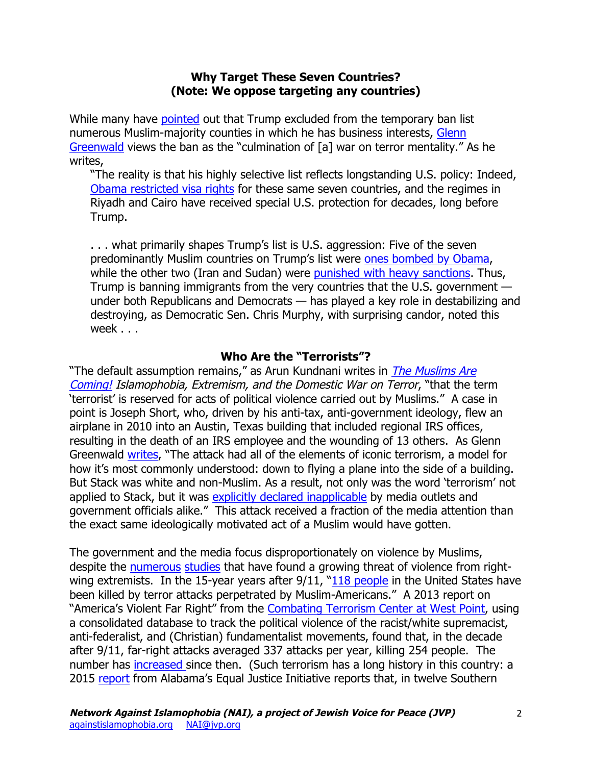## **Why Target These Seven Countries? (Note: We oppose targeting any countries)**

While many have pointed out that Trump excluded from the temporary ban list numerous Muslim-majority counties in which he has business interests, Glenn Greenwald views the ban as the "culmination of [a] war on terror mentality." As he writes,

"The reality is that his highly selective list reflects longstanding U.S. policy: Indeed, Obama restricted visa rights for these same seven countries, and the regimes in Riyadh and Cairo have received special U.S. protection for decades, long before Trump.

. . . what primarily shapes Trump's list is U.S. aggression: Five of the seven predominantly Muslim countries on Trump's list were ones bombed by Obama, while the other two (Iran and Sudan) were punished with heavy sanctions. Thus, Trump is banning immigrants from the very countries that the U.S. government under both Republicans and Democrats — has played a key role in destabilizing and destroying, as Democratic Sen. Chris Murphy, with surprising candor, noted this week . . .

## **Who Are the "Terrorists"?**

"The default assumption remains," as Arun Kundnani writes in The Muslims Are Coming! Islamophobia, Extremism, and the Domestic War on Terror, "that the term 'terrorist' is reserved for acts of political violence carried out by Muslims." A case in point is Joseph Short, who, driven by his anti-tax, anti-government ideology, flew an airplane in 2010 into an Austin, Texas building that included regional IRS offices, resulting in the death of an IRS employee and the wounding of 13 others. As Glenn Greenwald writes, "The attack had all of the elements of iconic terrorism, a model for how it's most commonly understood: down to flying a plane into the side of a building. But Stack was white and non-Muslim. As a result, not only was the word 'terrorism' not applied to Stack, but it was explicitly declared inapplicable by media outlets and government officials alike." This attack received a fraction of the media attention than the exact same ideologically motivated act of a Muslim would have gotten.

The government and the media focus disproportionately on violence by Muslims, despite the numerous studies that have found a growing threat of violence from rightwing extremists. In the 15-year years after  $9/11$ , " $118$  people in the United States have been killed by terror attacks perpetrated by Muslim-Americans." A 2013 report on "America's Violent Far Right" from the Combating Terrorism Center at West Point, using a consolidated database to track the political violence of the racist/white supremacist, anti-federalist, and (Christian) fundamentalist movements, found that, in the decade after 9/11, far-right attacks averaged 337 attacks per year, killing 254 people. The number has increased since then. (Such terrorism has a long history in this country: a 2015 report from Alabama's Equal Justice Initiative reports that, in twelve Southern